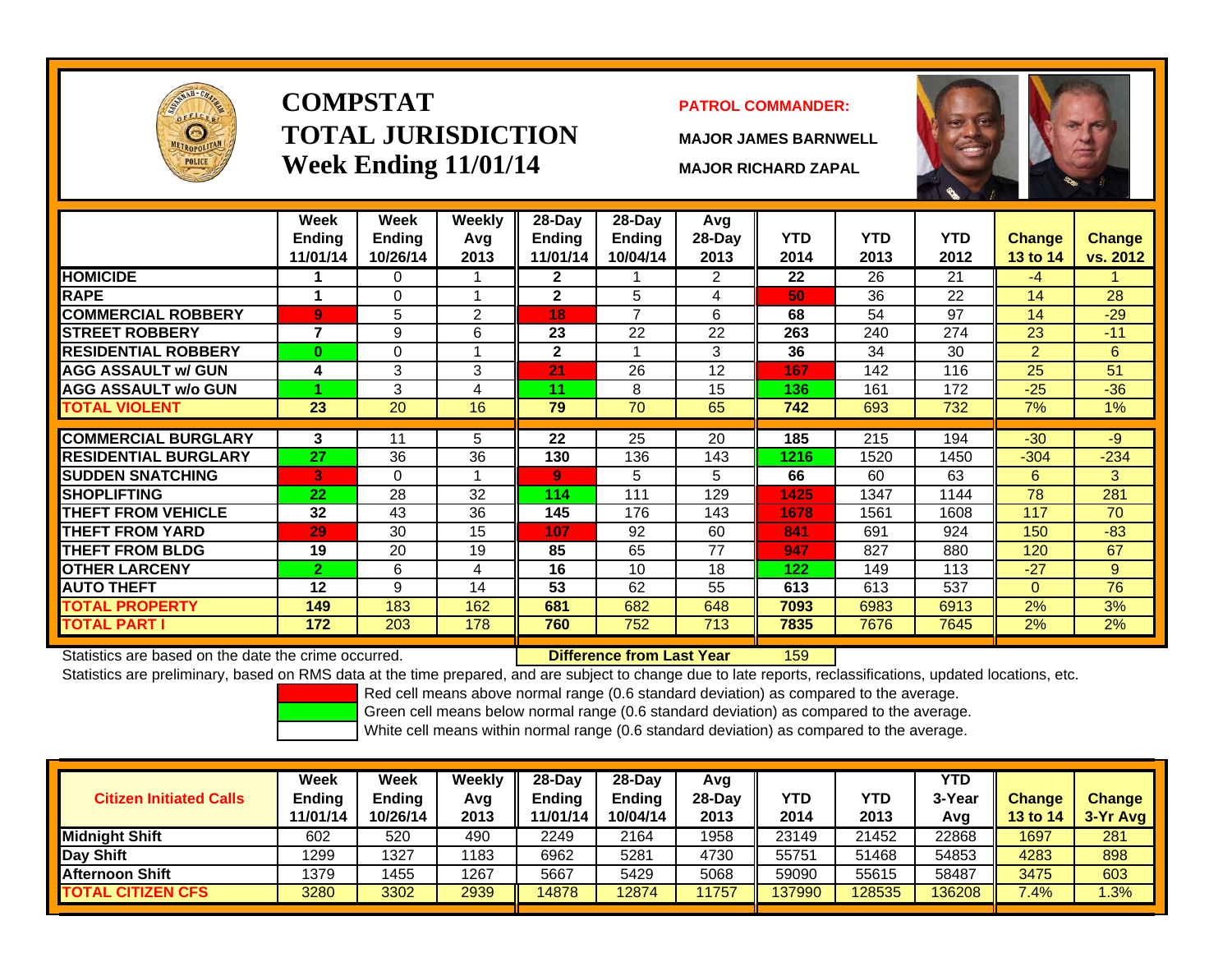

# **COMPSTATTOTAL JURISDICTIONWeek Ending 11/01/14 MAJOR RICHARD ZAPAL**

### **PATROL COMMANDER:**

**MAJOR JAMES BARNWELL**



|                             | Week                      | Week                      | Weekly      | 28-Day                    | 28-Dav                    | Avg            |                    |                    |                    |                           |                    |
|-----------------------------|---------------------------|---------------------------|-------------|---------------------------|---------------------------|----------------|--------------------|--------------------|--------------------|---------------------------|--------------------|
|                             | <b>Ending</b><br>11/01/14 | <b>Ending</b><br>10/26/14 | Avg<br>2013 | <b>Ending</b><br>11/01/14 | <b>Ending</b><br>10/04/14 | 28-Day<br>2013 | <b>YTD</b><br>2014 | <b>YTD</b><br>2013 | <b>YTD</b><br>2012 | <b>Change</b><br>13 to 14 | Change<br>vs. 2012 |
| <b>HOMICIDE</b>             |                           | 0                         |             | $\mathbf{2}$              |                           | 2              | 22                 | 26                 | 21                 | $-4$                      |                    |
|                             |                           |                           |             |                           |                           |                |                    |                    |                    |                           |                    |
| <b>RAPE</b>                 | 1                         | $\Omega$                  |             | $\mathbf{2}$              | 5                         | 4              | 50                 | 36                 | 22                 | 14                        | 28                 |
| <b>COMMERCIAL ROBBERY</b>   | 9                         | 5                         | 2           | 18                        | $\overline{7}$            | 6              | 68                 | 54                 | 97                 | 14                        | $-29$              |
| <b>STREET ROBBERY</b>       | 7                         | 9                         | 6           | 23                        | 22                        | 22             | 263                | 240                | 274                | 23                        | $-11$              |
| <b>RESIDENTIAL ROBBERY</b>  | $\bf{0}$                  | 0                         |             | $\mathbf{2}$              |                           | 3              | 36                 | 34                 | 30                 | $\overline{2}$            | 6                  |
| <b>AGG ASSAULT w/ GUN</b>   | 4                         | 3                         | 3           | 21                        | 26                        | 12             | 167                | 142                | 116                | 25                        | 51                 |
| <b>AGG ASSAULT w/o GUN</b>  |                           | 3                         | 4           | 11                        | 8                         | 15             | 136                | 161                | 172                | $-25$                     | $-36$              |
| <b>TOTAL VIOLENT</b>        | 23                        | 20                        | 16          | 79                        | 70                        | 65             | 742                | 693                | 732                | $7\%$                     | $1\%$              |
|                             |                           |                           |             |                           |                           |                |                    |                    |                    |                           |                    |
| <b>COMMERCIAL BURGLARY</b>  | 3                         | 11                        | 5           | $\overline{22}$           | 25                        | 20             | 185                | 215                | 194                | $-30$                     | $-9$               |
| <b>RESIDENTIAL BURGLARY</b> | 27                        | 36                        | 36          | 130                       | 136                       | 143            | 1216               | 1520               | 1450               | $-304$                    | $-234$             |
| <b>SUDDEN SNATCHING</b>     | 3                         | $\Omega$                  |             | 9                         | 5                         | 5              | 66                 | 60                 | 63                 | 6                         | 3                  |
| <b>ISHOPLIFTING</b>         | 22                        | 28                        | 32          | 114                       | 111                       | 129            | 1425               | 1347               | 1144               | 78                        | 281                |
| <b>THEFT FROM VEHICLE</b>   | 32                        | 43                        | 36          | 145                       | 176                       | 143            | 1678               | 1561               | 1608               | 117                       | 70                 |
| <b>THEFT FROM YARD</b>      | 29                        | 30                        | 15          | 107                       | 92                        | 60             | 841                | 691                | 924                | 150                       | $-83$              |
| <b>THEFT FROM BLDG</b>      | 19                        | 20                        | 19          | 85                        | 65                        | 77             | 947                | 827                | 880                | 120                       | 67                 |
| <b>OTHER LARCENY</b>        | $\mathbf{2}$              | 6                         | 4           | 16                        | 10                        | 18             | 122                | 149                | 113                | $-27$                     | 9                  |
| <b>AUTO THEFT</b>           | 12                        | 9                         | 14          | 53                        | 62                        | 55             | 613                | 613                | 537                | $\Omega$                  | 76                 |
| <b>TOTAL PROPERTY</b>       | 149                       | 183                       | 162         | 681                       | 682                       | 648            | 7093               | 6983               | 6913               | 2%                        | 3%                 |
| <b>TOTAL PART I</b>         | 172                       | 203                       | 178         | 760                       | 752                       | 713            | 7835               | 7676               | 7645               | 2%                        | 2%                 |

Statistics are based on the date the crime occurred. **Difference from Last Year** 

159

Statistics are preliminary, based on RMS data at the time prepared, and are subject to change due to late reports, reclassifications, updated locations, etc.

Red cell means above normal range (0.6 standard deviation) as compared to the average.

Green cell means below normal range (0.6 standard deviation) as compared to the average.

| <b>Citizen Initiated Calls</b> | Week<br>Ending<br>11/01/14 | <b>Week</b><br><b>Ending</b><br>10/26/14 | Weekly<br>Avg<br>2013 | 28-Day<br>Ending<br>11/01/14 | 28-Dav<br><b>Ending</b><br>10/04/14 | Avg<br>28-Dav<br>2013 | <b>YTD</b><br>2014 | YTD<br>2013 | YTD<br>3-Year<br>Avg | <b>Change</b><br><b>13 to 14</b> | <b>Change</b><br>3-Yr Avg |
|--------------------------------|----------------------------|------------------------------------------|-----------------------|------------------------------|-------------------------------------|-----------------------|--------------------|-------------|----------------------|----------------------------------|---------------------------|
| <b>I</b> Midniaht Shift        | 602                        | 520                                      | 490                   | 2249                         | 2164                                | 1958                  | 23149              | 21452       | 22868                | 1697                             | 281                       |
| Day Shift                      | 1299                       | 1327                                     | 1183                  | 6962                         | 5281                                | 4730                  | 55751              | 51468       | 54853                | 4283                             | 898                       |
| <b>Afternoon Shift</b>         | 1379                       | 455                                      | 1267                  | 5667                         | 5429                                | 5068                  | 59090              | 55615       | 58487                | 3475                             | 603                       |
| <b>TOTAL CITIZEN CFS</b>       | 3280                       | 3302                                     | 2939                  | 14878                        | 12874                               | 11757                 | 137990             | 128535      | 136208               | 7.4%                             | .3%                       |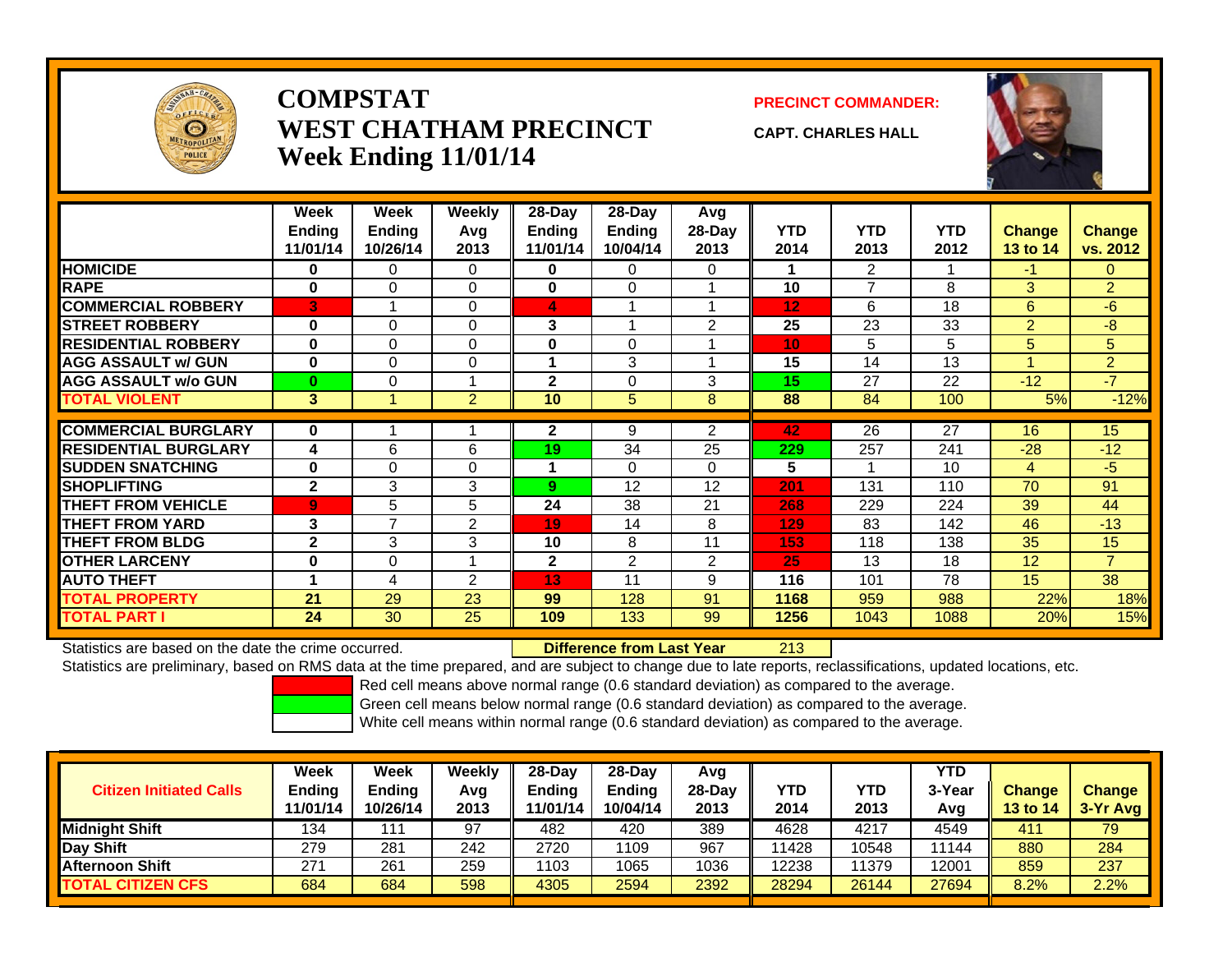

### **COMPSTATWEST CHATHAM PRECINCTWeek Ending 11/01/14**

**PRECINCT COMMANDER:**

**CAPT. CHARLES HALL**



|                             | Week           | Week     | <b>Weekly</b>  | 28-Day        | $28-Day$      | Avg            |            |                |            |                 |                |
|-----------------------------|----------------|----------|----------------|---------------|---------------|----------------|------------|----------------|------------|-----------------|----------------|
|                             | Ending         | Ending   | Avg            | <b>Ending</b> | <b>Ending</b> | 28-Day         | <b>YTD</b> | <b>YTD</b>     | <b>YTD</b> | <b>Change</b>   | <b>Change</b>  |
|                             | 11/01/14       | 10/26/14 | 2013           | 11/01/14      | 10/04/14      | 2013           | 2014       | 2013           | 2012       | 13 to 14        | vs. 2012       |
| <b>HOMICIDE</b>             | $\bf{0}$       | 0        | $\Omega$       | 0             | $\Omega$      | $\Omega$       |            | 2              |            | $-1$            | $\Omega$       |
| <b>RAPE</b>                 | $\bf{0}$       | 0        | $\Omega$       | 0             | $\Omega$      |                | 10         | $\overline{7}$ | 8          | 3               | $\overline{2}$ |
| <b>COMMERCIAL ROBBERY</b>   | B              |          | $\Omega$       | 4             |               |                | 12         | 6              | 18         | 6               | $-6$           |
| <b>STREET ROBBERY</b>       | $\bf{0}$       | 0        | $\Omega$       | 3             |               | 2              | 25         | 23             | 33         | 2               | -8             |
| <b>RESIDENTIAL ROBBERY</b>  | $\bf{0}$       | 0        | $\Omega$       | 0             | 0             |                | 10         | 5              | 5          | 5               | 5              |
| <b>AGG ASSAULT w/ GUN</b>   | $\bf{0}$       | 0        | $\Omega$       |               | 3             |                | 15         | 14             | 13         |                 | $\overline{2}$ |
| <b>AGG ASSAULT w/o GUN</b>  | 0              | 0        |                | $\mathbf{2}$  | $\Omega$      | 3              | 15         | 27             | 22         | $-12$           | $-7$           |
| <b>TOTAL VIOLENT</b>        | 3              |          | $\overline{2}$ | 10            | 5             | 8              | 88         | 84             | 100        | 5%              | $-12%$         |
|                             |                |          |                |               |               |                |            |                |            |                 |                |
| <b>COMMERCIAL BURGLARY</b>  | $\bf{0}$       |          |                | $\mathbf{2}$  | 9             | $\overline{2}$ | 42         | 26             | 27         | 16              | 15             |
| <b>RESIDENTIAL BURGLARY</b> | 4              | 6        | 6              | 19            | 34            | 25             | 229        | 257            | 241        | $-28$           | $-12$          |
| <b>SUDDEN SNATCHING</b>     | $\bf{0}$       | 0        | $\Omega$       |               | $\Omega$      | $\Omega$       | 5          |                | 10         | $\overline{4}$  | $-5$           |
| <b>SHOPLIFTING</b>          | $\mathbf{2}$   | 3        | 3              | 9             | 12            | 12             | 201        | 131            | 110        | 70              | 91             |
| <b>THEFT FROM VEHICLE</b>   | $\overline{9}$ | 5        | 5              | 24            | 38            | 21             | 268        | 229            | 224        | 39              | 44             |
| <b>THEFT FROM YARD</b>      | 3              | 7        | 2              | 19            | 14            | 8              | 129        | 83             | 142        | 46              | $-13$          |
| <b>THEFT FROM BLDG</b>      | $\mathbf{2}$   | 3        | 3              | 10            | 8             | 11             | 153        | 118            | 138        | 35              | 15             |
| <b>OTHER LARCENY</b>        | $\bf{0}$       | 0        |                | $\mathbf{2}$  | 2             | $\overline{2}$ | 25         | 13             | 18         | 12              | $\overline{7}$ |
| <b>AUTO THEFT</b>           | 4              | 4        | 2              | 13            | 11            | 9              | 116        | 101            | 78         | 15 <sub>1</sub> | 38             |
| <b>TOTAL PROPERTY</b>       | 21             | 29       | 23             | 99            | 128           | 91             | 1168       | 959            | 988        | 22%             | 18%            |
| <b>TOTAL PART I</b>         | 24             | 30       | 25             | 109           | 133           | 99             | 1256       | 1043           | 1088       | 20%             | 15%            |

Statistics are based on the date the crime occurred. **Difference from Last Year** 

213

Statistics are preliminary, based on RMS data at the time prepared, and are subject to change due to late reports, reclassifications, updated locations, etc.

Red cell means above normal range (0.6 standard deviation) as compared to the average.

Green cell means below normal range (0.6 standard deviation) as compared to the average.

| <b>Ending</b><br>10/26/14 | Avg<br>2013 | Ending<br>11/01/14 | <b>Ending</b><br>10/04/14 | 28-Dav<br>2013 | YTD<br>2014 | <b>YTD</b><br>2013 | 3-Year<br>Avg | <b>Change</b><br><b>13 to 14</b> | <b>Change</b><br>$3-Yr$ Avg |
|---------------------------|-------------|--------------------|---------------------------|----------------|-------------|--------------------|---------------|----------------------------------|-----------------------------|
| 111                       | 97          | 482                | 420                       | 389            | 4628        | 4217               | 4549          | 411                              | 79                          |
| 281                       | 242         | 2720               | 1109                      | 967            | 11428       | 10548              | 1144          | 880                              | 284                         |
| 261                       | 259         | 1103               | 1065                      | 1036           | 12238       | 11379              | 12001         | 859                              | 237                         |
| 684                       | 598         | 4305               | 2594                      | 2392           | 28294       | 26144              | 27694         | 8.2%                             | 2.2%                        |
| 11/01/14                  |             |                    |                           |                |             |                    |               |                                  |                             |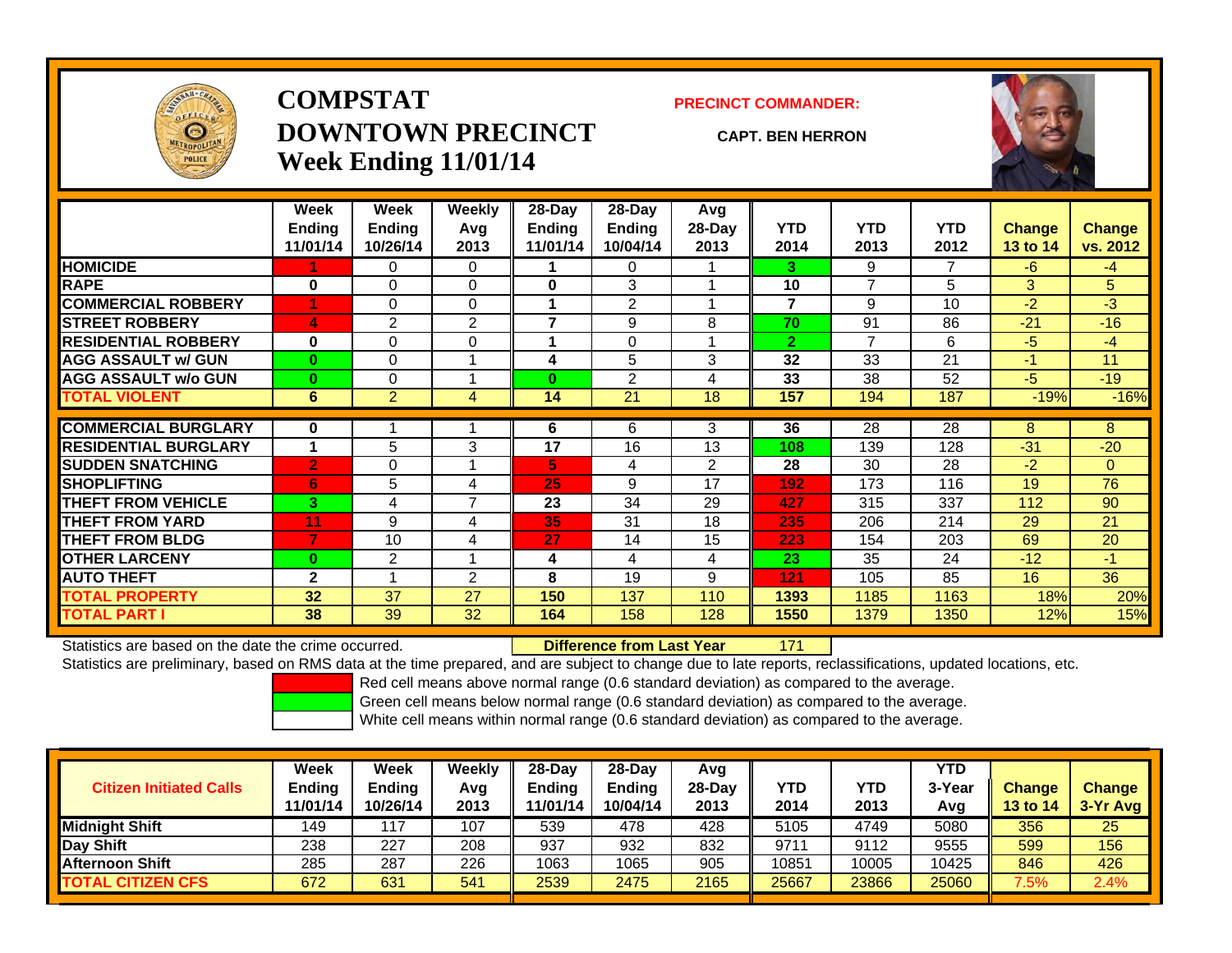

## **COMPSTATDOWNTOWN PRECINCTWeek Ending 11/01/14**

#### **PRECINCT COMMANDER:**

#### **CAPT. BEN HERRON**

171



|                             | Week           | Week           | Weekly         | 28-Day        | $28-Day$       | Avg            |                |                |            |               |                |
|-----------------------------|----------------|----------------|----------------|---------------|----------------|----------------|----------------|----------------|------------|---------------|----------------|
|                             | <b>Endina</b>  | <b>Ending</b>  | Avg            | <b>Ending</b> | <b>Ending</b>  | 28-Day         | <b>YTD</b>     | <b>YTD</b>     | <b>YTD</b> | <b>Change</b> | <b>Change</b>  |
|                             | 11/01/14       | 10/26/14       | 2013           | 11/01/14      | 10/04/14       | 2013           | 2014           | 2013           | 2012       | 13 to 14      | vs. 2012       |
| <b>HOMICIDE</b>             |                | 0              | $\Omega$       |               | 0              |                | 3.             | 9              | 7          | $-6$          | $-4$           |
| <b>RAPE</b>                 | $\bf{0}$       | 0              | 0              | 0             | 3              |                | 10             | $\overline{7}$ | 5          | 3             | 5              |
| <b>COMMERCIAL ROBBERY</b>   |                | 0              | $\Omega$       |               | $\overline{2}$ |                | 7              | 9              | 10         | $-2$          | $-3$           |
| <b>STREET ROBBERY</b>       | 4              | 2              | $\overline{2}$ |               | 9              | 8              | 70             | 91             | 86         | $-21$         | $-16$          |
| <b>RESIDENTIAL ROBBERY</b>  | $\bf{0}$       | 0              | $\Omega$       |               | 0              |                | $\overline{2}$ | 7              | 6          | $-5$          | $-4$           |
| <b>AGG ASSAULT w/ GUN</b>   | $\bf{0}$       | 0              |                | 4             | 5              | 3              | 32             | 33             | 21         | $-1$          | 11             |
| <b>AGG ASSAULT w/o GUN</b>  | $\bf{0}$       | 0              |                | $\bf{0}$      | 2              | 4              | 33             | 38             | 52         | $-5$          | $-19$          |
| <b>TOTAL VIOLENT</b>        | 6              | $\overline{2}$ | 4              | 14            | 21             | 18             | 157            | 194            | 187        | $-19%$        | $-16%$         |
| <b>COMMERCIAL BURGLARY</b>  | $\bf{0}$       |                |                | 6             | 6              | 3              | 36             | 28             | 28         | 8             | 8              |
| <b>RESIDENTIAL BURGLARY</b> |                | 5              | 3              | 17            | 16             | 13             | 108            | 139            | 128        | $-31$         | $-20$          |
| <b>SUDDEN SNATCHING</b>     | $\overline{2}$ | 0              |                | 5.            | 4              | $\overline{2}$ | 28             | 30             | 28         | $-2$          | $\overline{0}$ |
| <b>SHOPLIFTING</b>          | 6              | 5              | 4              | 25            | 9              | 17             | 192            | 173            | 116        | 19            | 76             |
|                             |                |                | $\overline{7}$ |               |                |                |                |                |            |               |                |
| <b>THEFT FROM VEHICLE</b>   | 3              | 4              |                | 23            | 34             | 29             | 427            | 315            | 337        | 112           | 90             |
| <b>THEFT FROM YARD</b>      | 11             | 9              | 4              | 35            | 31             | 18             | 235            | 206            | 214        | 29            | 21             |
| <b>THEFT FROM BLDG</b>      | 7              | 10             | 4              | 27            | 14             | 15             | 223            | 154            | 203        | 69            | 20             |
| <b>OTHER LARCENY</b>        | $\bf{0}$       | $\overline{2}$ |                | 4             | 4              | 4              | 23             | 35             | 24         | $-12$         | $-1$           |
| <b>AUTO THEFT</b>           | $\mathbf{2}$   |                | $\overline{2}$ | 8             | 19             | 9              | 121            | 105            | 85         | 16            | 36             |
| <b>TOTAL PROPERTY</b>       | 32             | 37             | 27             | 150           | 137            | 110            | 1393           | 1185           | 1163       | 18%           | 20%            |
| <b>TOTAL PART I</b>         | 38             | 39             | 32             | 164           | 158            | 128            | 1550           | 1379           | 1350       | 12%           | 15%            |

Statistics are based on the date the crime occurred. **Difference from Last Year** 

Statistics are preliminary, based on RMS data at the time prepared, and are subject to change due to late reports, reclassifications, updated locations, etc.

Red cell means above normal range (0.6 standard deviation) as compared to the average.

Green cell means below normal range (0.6 standard deviation) as compared to the average.

| <b>Citizen Initiated Calls</b> | Week<br><b>Ending</b><br>11/01/14 | Week<br><b>Ending</b><br>10/26/14 | Weeklv<br>Avg<br>2013 | $28-Dav$<br><b>Ending</b><br>11/01/14 | $28-Dav$<br><b>Ending</b><br>10/04/14 | Avg<br>$28-Dav$<br>2013 | YTD<br>2014 | YTD<br>2013 | <b>YTD</b><br>3-Year<br>Avg | <b>Change</b><br><b>13 to 14</b> | <b>Change</b><br>$3-Yr$ Avg |
|--------------------------------|-----------------------------------|-----------------------------------|-----------------------|---------------------------------------|---------------------------------------|-------------------------|-------------|-------------|-----------------------------|----------------------------------|-----------------------------|
| <b>Midnight Shift</b>          | 149                               | $-17$                             | 107                   | 539                                   | 478                                   | 428                     | 5105        | 4749        | 5080                        | 356                              | 25                          |
| Day Shift                      | 238                               | 227                               | 208                   | 937                                   | 932                                   | 832                     | 9711        | 9112        | 9555                        | 599                              | 156                         |
| <b>Afternoon Shift</b>         | 285                               | 287                               | 226                   | 1063                                  | 1065                                  | 905                     | 10851       | 10005       | 10425                       | 846                              | 426                         |
| <b>TOTAL CITIZEN CFS</b>       | 672                               | 631                               | 541                   | 2539                                  | 2475                                  | 2165                    | 25667       | 23866       | 25060                       | $7.5\%$                          | 2.4%                        |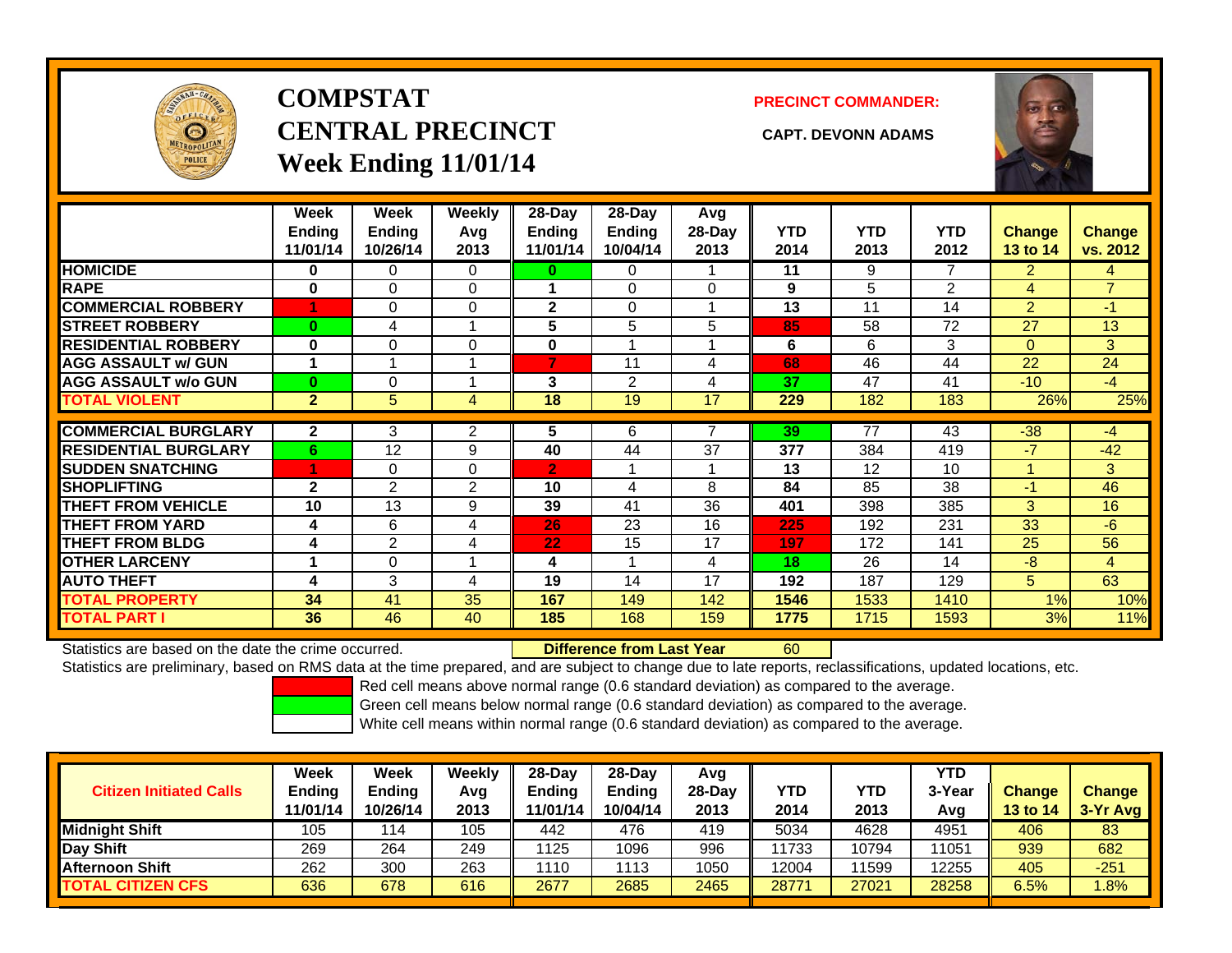

# **COMPSTATCENTRAL PRECINCT CAPT. DEVONN ADAMSWeek Ending 11/01/14**

**PRECINCT COMMANDER:**



|                             | Week<br><b>Ending</b><br>11/01/14 | Week<br><b>Endina</b><br>10/26/14 | <b>Weekly</b><br>Avg<br>2013 | 28-Day<br><b>Ending</b><br>11/01/14 | $28$ -Day<br><b>Ending</b><br>10/04/14 | Avg<br>$28-Day$<br>2013 | <b>YTD</b><br>2014 | <b>YTD</b><br>2013 | <b>YTD</b><br>2012 | <b>Change</b><br>13 to 14 | Change<br>vs. 2012 |
|-----------------------------|-----------------------------------|-----------------------------------|------------------------------|-------------------------------------|----------------------------------------|-------------------------|--------------------|--------------------|--------------------|---------------------------|--------------------|
| <b>HOMICIDE</b>             | 0                                 | 0                                 | 0                            | $\bf{0}$                            | $\Omega$                               |                         | 11                 | 9                  | 7                  | $\overline{2}$            | 4                  |
| <b>RAPE</b>                 | $\bf{0}$                          | $\Omega$                          | $\Omega$                     |                                     | $\Omega$                               | $\Omega$                | 9                  | 5                  | $\overline{2}$     | 4                         | $\overline{7}$     |
| <b>COMMERCIAL ROBBERY</b>   | 1                                 | $\Omega$                          | $\Omega$                     | $\mathbf{2}$                        | $\Omega$                               |                         | 13                 | 11                 | 14                 | 2                         | $-1$               |
| <b>STREET ROBBERY</b>       | $\bf{0}$                          | 4                                 | 1                            | 5                                   | 5                                      | 5                       | 85                 | 58                 | 72                 | 27                        | 13                 |
| <b>RESIDENTIAL ROBBERY</b>  | $\bf{0}$                          | $\Omega$                          | $\Omega$                     | $\bf{0}$                            |                                        |                         | 6                  | 6                  | 3                  | $\Omega$                  | 3                  |
| <b>AGG ASSAULT w/ GUN</b>   | 1                                 |                                   | 1                            | 7                                   | 11                                     | 4                       | 68                 | 46                 | 44                 | 22                        | 24                 |
| <b>AGG ASSAULT w/o GUN</b>  | $\bf{0}$                          | 0                                 | 4                            | 3                                   | $\overline{2}$                         | 4                       | 37                 | 47                 | 41                 | $-10$                     | $-4$               |
| <b>TOTAL VIOLENT</b>        | $\overline{2}$                    | 5                                 | 4                            | 18                                  | 19                                     | 17                      | 229                | 182                | 183                | 26%                       | 25%                |
|                             |                                   |                                   |                              |                                     |                                        |                         |                    |                    |                    |                           |                    |
| <b>COMMERCIAL BURGLARY</b>  | $\mathbf{2}$                      | 3                                 | 2                            | 5                                   | 6                                      |                         | 39                 | 77                 | 43                 | $-38$                     | $-4$               |
| <b>RESIDENTIAL BURGLARY</b> | 6                                 | 12                                | 9                            | 40                                  | 44                                     | 37                      | 377                | 384                | 419                | $-7$                      | $-42$              |
| <b>SUDDEN SNATCHING</b>     | 1                                 | $\Omega$                          | $\Omega$                     | $\overline{2}$                      |                                        |                         | 13                 | 12                 | 10                 | 1                         | 3                  |
| <b>SHOPLIFTING</b>          | $\mathbf{2}$                      | $\overline{2}$                    | 2                            | 10                                  | 4                                      | 8                       | 84                 | 85                 | 38                 | $-1$                      | 46                 |
| <b>THEFT FROM VEHICLE</b>   | 10                                | 13                                | 9                            | 39                                  | 41                                     | 36                      | 401                | 398                | 385                | 3                         | 16                 |
| <b>THEFT FROM YARD</b>      | 4                                 | 6                                 | 4                            | 26                                  | 23                                     | 16                      | 225                | 192                | 231                | 33                        | $-6$               |
| <b>THEFT FROM BLDG</b>      | 4                                 | $\overline{2}$                    | 4                            | 22                                  | 15                                     | 17                      | 197                | 172                | 141                | 25                        | 56                 |
| <b>OTHER LARCENY</b>        |                                   | $\Omega$                          | 1                            | 4                                   |                                        | 4                       | 18                 | 26                 | 14                 | $-8$                      | 4                  |
| <b>AUTO THEFT</b>           | 4                                 | 3                                 | 4                            | 19                                  | 14                                     | 17                      | 192                | 187                | 129                | 5                         | 63                 |
| <b>TOTAL PROPERTY</b>       | 34                                | 41                                | 35                           | 167                                 | 149                                    | 142                     | 1546               | 1533               | 1410               | 1%                        | 10%                |
| <b>TOTAL PART I</b>         | 36                                | 46                                | 40                           | 185                                 | 168                                    | 159                     | 1775               | 1715               | 1593               | 3%                        | 11%                |

Statistics are based on the date the crime occurred. **Difference from Last Year** 

60

Statistics are preliminary, based on RMS data at the time prepared, and are subject to change due to late reports, reclassifications, updated locations, etc.

Red cell means above normal range (0.6 standard deviation) as compared to the average.

Green cell means below normal range (0.6 standard deviation) as compared to the average.

| <b>Citizen Initiated Calls</b> | <b>Week</b><br><b>Ending</b><br>11/01/14 | Week<br><b>Ending</b><br>10/26/14 | Weekly<br>Avg<br>2013 | 28-Day<br>Ending<br>11/01/14 | 28-Day<br><b>Ending</b><br>10/04/14 | Avg<br>28-Dav<br>2013 | YTD<br>2014 | <b>YTD</b><br>2013 | <b>YTD</b><br>3-Year<br>Avg | <b>Change</b><br><b>13 to 14</b> | <b>Change</b><br>$3-Yr$ Avg |
|--------------------------------|------------------------------------------|-----------------------------------|-----------------------|------------------------------|-------------------------------------|-----------------------|-------------|--------------------|-----------------------------|----------------------------------|-----------------------------|
| Midnight Shift                 | 105                                      | 114                               | 105                   | 442                          | 476                                 | 419                   | 5034        | 4628               | 4951                        | 406                              | 83                          |
| Day Shift                      | 269                                      | 264                               | 249                   | 1125                         | 1096                                | 996                   | 11733       | 10794              | 11051                       | 939                              | 682                         |
| <b>Afternoon Shift</b>         | 262                                      | 300                               | 263                   | 1110                         | 1113                                | 1050                  | 12004       | 11599              | 12255                       | 405                              | $-251$                      |
| <b>TOTAL CITIZEN CFS</b>       | 636                                      | 678                               | 616                   | 2677                         | 2685                                | 2465                  | 28771       | 27021              | 28258                       | 6.5%                             | .8%                         |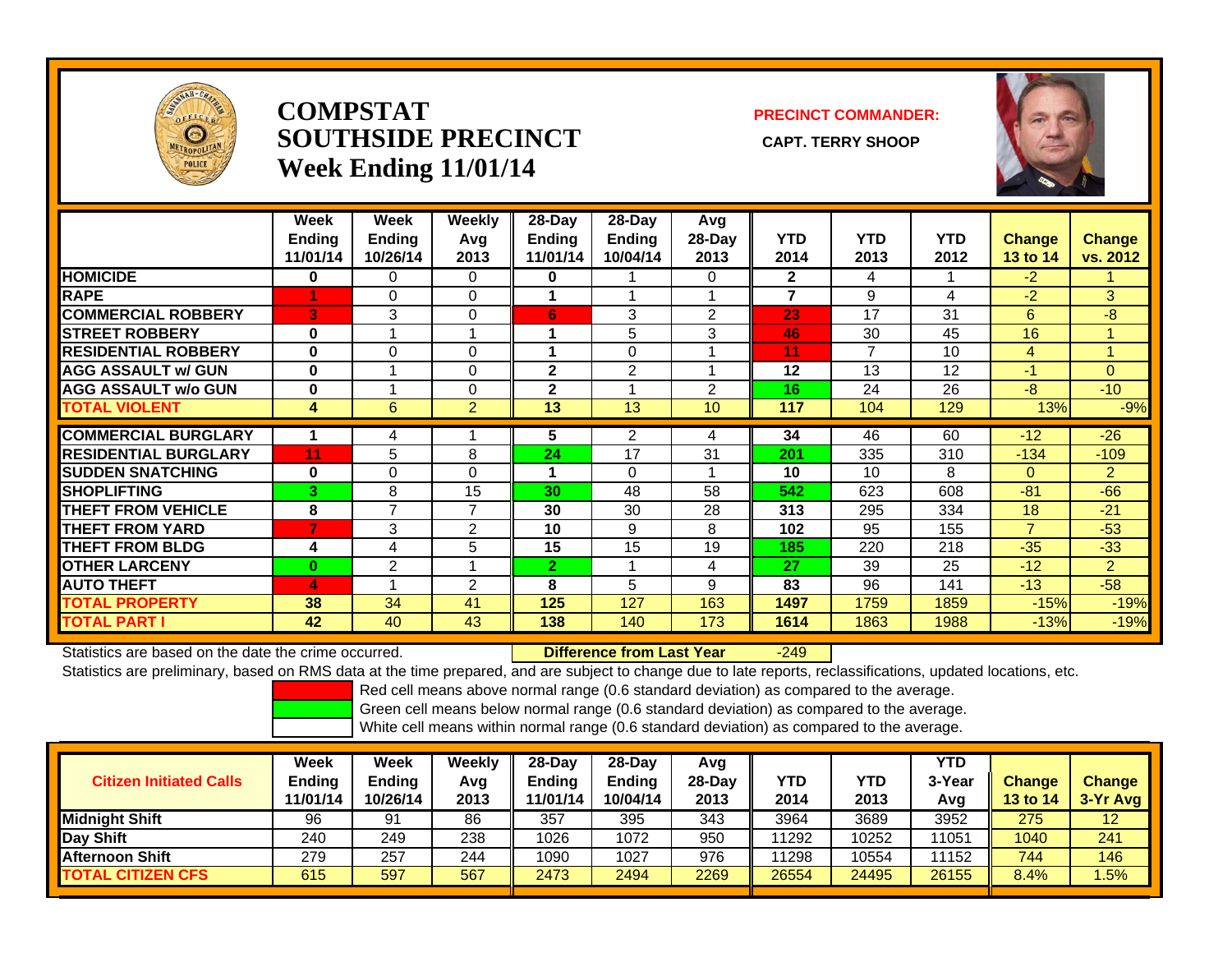

### **COMPSTATSOUTHSIDE PRECINCT** CAPT. TERRY SHOOP **Week Ending 11/01/14**

### **PRECINCT COMMANDER:**



|                             | Week<br><b>Ending</b><br>11/01/14 | Week<br><b>Ending</b><br>10/26/14 | Weekly<br>Avg<br>2013 | 28-Day<br><b>Ending</b><br>11/01/14 | $28-Day$<br><b>Ending</b><br>10/04/14 | Avg<br>28-Day<br>2013      | <b>YTD</b><br>2014 | <b>YTD</b><br>2013 | <b>YTD</b><br>2012 | <b>Change</b><br><b>13 to 14</b> | <b>Change</b><br>vs. 2012 |
|-----------------------------|-----------------------------------|-----------------------------------|-----------------------|-------------------------------------|---------------------------------------|----------------------------|--------------------|--------------------|--------------------|----------------------------------|---------------------------|
| <b>HOMICIDE</b>             | 0                                 | 0                                 | 0                     | $\bf{0}$                            |                                       | 0                          | $\mathbf{2}$       | 4                  |                    | $-2$                             |                           |
| <b>RAPE</b>                 |                                   | $\Omega$                          | $\mathbf 0$           |                                     |                                       |                            | $\overline{7}$     | 9                  | 4                  | -2                               | 3 <sup>1</sup>            |
| <b>COMMERCIAL ROBBERY</b>   | 3                                 | 3                                 | $\Omega$              | 6                                   | 3                                     | $\overline{2}$             | 23                 | 17                 | 31                 | 6                                | -8                        |
| <b>STREET ROBBERY</b>       | $\bf{0}$                          |                                   | 1                     |                                     | 5                                     | 3                          | 46                 | 30                 | 45                 | 16                               |                           |
| <b>RESIDENTIAL ROBBERY</b>  | $\bf{0}$                          | $\Omega$                          | $\Omega$              |                                     | $\Omega$                              |                            | 11                 | 7                  | 10                 | 4                                | $\overline{\mathbf{A}}$   |
| <b>AGG ASSAULT w/ GUN</b>   | $\bf{0}$                          |                                   | $\mathbf 0$           | $\mathbf{2}$                        | 2                                     | $\boldsymbol{\mathcal{A}}$ | 12                 | 13                 | 12                 | $-1$                             | $\Omega$                  |
| <b>AGG ASSAULT w/o GUN</b>  | $\bf{0}$                          |                                   | $\Omega$              | $\mathbf 2$                         |                                       | 2                          | 16                 | 24                 | 26                 | $-8$                             | $-10$                     |
| <b>TOTAL VIOLENT</b>        | 4                                 | 6                                 | $\overline{2}$        | 13                                  | 13                                    | 10                         | 117                | 104                | 129                | 13%                              | $-9%$                     |
| <b>COMMERCIAL BURGLARY</b>  |                                   | 4                                 |                       | 5.                                  | 2                                     | 4                          | 34                 | 46                 | 60                 | $-12$                            | $-26$                     |
| <b>RESIDENTIAL BURGLARY</b> | 11                                | 5                                 | 8                     | 24                                  | 17                                    | 31                         | 201                | 335                | 310                | $-134$                           | $-109$                    |
| <b>ISUDDEN SNATCHING</b>    | $\bf{0}$                          | 0                                 | $\Omega$              | 4                                   | $\Omega$                              |                            | 10                 | 10                 | 8                  | $\mathbf{0}$                     | $\overline{2}$            |
| <b>ISHOPLIFTING</b>         | 3                                 | 8                                 | 15                    | 30                                  | 48                                    | 58                         | 542                | 623                | 608                | $-81$                            | $-66$                     |
| <b>THEFT FROM VEHICLE</b>   | 8                                 | $\overline{ }$                    | 7                     | 30                                  | 30                                    | 28                         | 313                | 295                | 334                | 18                               | $-21$                     |
| <b>THEFT FROM YARD</b>      | 7                                 | 3                                 | $\overline{2}$        | 10                                  | 9                                     | 8                          | 102                | 95                 | 155                | $\overline{7}$                   | $-53$                     |
| <b>THEFT FROM BLDG</b>      | 4                                 | 4                                 | 5                     | 15                                  | 15                                    | 19                         | 185                | 220                | 218                | $-35$                            | $-33$                     |
| <b>OTHER LARCENY</b>        | $\bf{0}$                          | 2                                 | $\overline{ }$        | $\overline{2}$                      |                                       | 4                          | 27                 | 39                 | 25                 | $-12$                            | $\overline{2}$            |
| <b>AUTO THEFT</b>           | 4                                 |                                   | $\overline{2}$        | 8                                   | 5                                     | 9                          | 83                 | 96                 | 141                | $-13$                            | $-58$                     |
| <b>TOTAL PROPERTY</b>       | 38                                | 34                                | 41                    | 125                                 | 127                                   | 163                        | 1497               | 1759               | 1859               | $-15%$                           | $-19%$                    |
| <b>TOTAL PART</b>           | 42                                | 40                                | 43                    | 138                                 | 140                                   | 173                        | 1614               | 1863               | 1988               | $-13%$                           | $-19%$                    |

Statistics are based on the date the crime occurred. **Difference from Last Year** 

r -249

Statistics are preliminary, based on RMS data at the time prepared, and are subject to change due to late reports, reclassifications, updated locations, etc.

Red cell means above normal range (0.6 standard deviation) as compared to the average.

Green cell means below normal range (0.6 standard deviation) as compared to the average.

| <b>Citizen Initiated Calls</b> | Week<br>Ending<br>11/01/14 | Week<br><b>Ending</b><br>10/26/14 | Weekly<br>Avg<br>2013 | $28-Day$<br><b>Ending</b><br>11/01/14 | 28-Dav<br><b>Ending</b><br>10/04/14 | Avg<br>$28-Dav$<br>2013 | YTD<br>2014 | YTD<br>2013 | <b>YTD</b><br>3-Year<br>Avg | <b>Change</b><br>13 to 14 | <b>Change</b><br>3-Yr Avg |
|--------------------------------|----------------------------|-----------------------------------|-----------------------|---------------------------------------|-------------------------------------|-------------------------|-------------|-------------|-----------------------------|---------------------------|---------------------------|
| <b>Midnight Shift</b>          | 96                         | 91                                | 86                    | 357                                   | 395                                 | 343                     | 3964        | 3689        | 3952                        | 275                       | 12                        |
| Day Shift                      | 240                        | 249                               | 238                   | 1026                                  | 1072                                | 950                     | 11292       | 10252       | 11051                       | 1040                      | 241                       |
| <b>Afternoon Shift</b>         | 279                        | 257                               | 244                   | 1090                                  | 1027                                | 976                     | 11298       | 10554       | 11152                       | 744                       | 146                       |
| <b>TOTAL CITIZEN CFS</b>       | 615                        | 597                               | 567                   | 2473                                  | 2494                                | 2269                    | 26554       | 24495       | 26155                       | 8.4%                      | .5%                       |